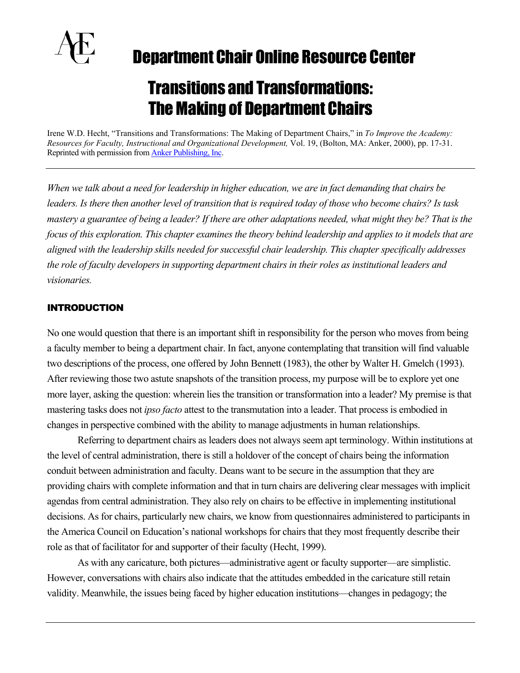

# Department Chair Online Resource Center

# Transitions and Transformations: The Making of Department Chairs

Irene W.D. Hecht, "Transitions and Transformations: The Making of Department Chairs," in *To Improve the Academy: Resources for Faculty, Instructional and Organizational Development,* Vol. 19, (Bolton, MA: Anker, 2000), pp. 17-31. Reprinted with permission from [Anker Publishing, Inc.](http://www.ankerpub.com) 

*When we talk about a need for leadership in higher education, we are in fact demanding that chairs be leaders. Is there then another level of transition that is required today of those who become chairs? Is task mastery a guarantee of being a leader? If there are other adaptations needed, what might they be? That is the focus of this exploration. This chapter examines the theory behind leadership and applies to it models that are aligned with the leadership skills needed for successful chair leadership. This chapter specifically addresses the role of faculty developers in supporting department chairs in their roles as institutional leaders and visionaries.* 

### INTRODUCTION

No one would question that there is an important shift in responsibility for the person who moves from being a faculty member to being a department chair. In fact, anyone contemplating that transition will find valuable two descriptions of the process, one offered by John Bennett (1983), the other by Walter H. Gmelch (1993). After reviewing those two astute snapshots of the transition process, my purpose will be to explore yet one more layer, asking the question: wherein lies the transition or transformation into a leader? My premise is that mastering tasks does not *ipso facto* attest to the transmutation into a leader. That process is embodied in changes in perspective combined with the ability to manage adjustments in human relationships.

Referring to department chairs as leaders does not always seem apt terminology. Within institutions at the level of central administration, there is still a holdover of the concept of chairs being the information conduit between administration and faculty. Deans want to be secure in the assumption that they are providing chairs with complete information and that in turn chairs are delivering clear messages with implicit agendas from central administration. They also rely on chairs to be effective in implementing institutional decisions. As for chairs, particularly new chairs, we know from questionnaires administered to participants in the America Council on Education's national workshops for chairs that they most frequently describe their role as that of facilitator for and supporter of their faculty (Hecht, 1999).

As with any caricature, both pictures—administrative agent or faculty supporter—are simplistic. However, conversations with chairs also indicate that the attitudes embedded in the caricature still retain validity. Meanwhile, the issues being faced by higher education institutions—changes in pedagogy; the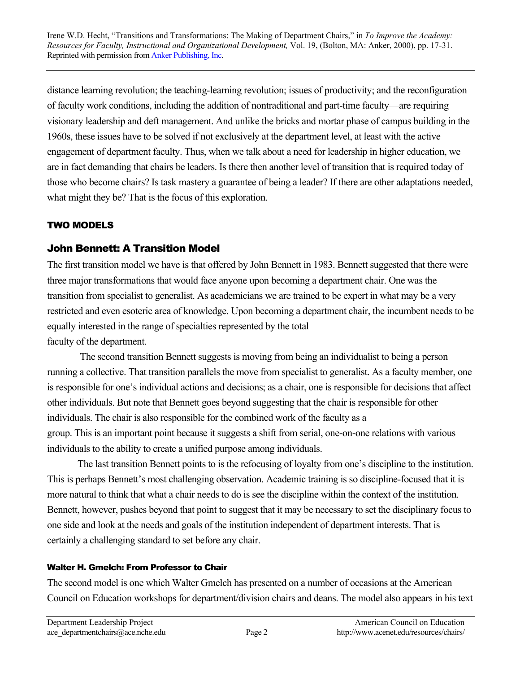distance learning revolution; the teaching-learning revolution; issues of productivity; and the reconfiguration of faculty work conditions, including the addition of nontraditional and part-time faculty—are requiring visionary leadership and deft management. And unlike the bricks and mortar phase of campus building in the 1960s, these issues have to be solved if not exclusively at the department level, at least with the active engagement of department faculty. Thus, when we talk about a need for leadership in higher education, we are in fact demanding that chairs be leaders. Is there then another level of transition that is required today of those who become chairs? Is task mastery a guarantee of being a leader? If there are other adaptations needed, what might they be? That is the focus of this exploration.

## TWO MODELS

## John Bennett: A Transition Model

The first transition model we have is that offered by John Bennett in 1983. Bennett suggested that there were three major transformations that would face anyone upon becoming a department chair. One was the transition from specialist to generalist. As academicians we are trained to be expert in what may be a very restricted and even esoteric area of knowledge. Upon becoming a department chair, the incumbent needs to be equally interested in the range of specialties represented by the total faculty of the department.

 The second transition Bennett suggests is moving from being an individualist to being a person running a collective. That transition parallels the move from specialist to generalist. As a faculty member, one is responsible for one's individual actions and decisions; as a chair, one is responsible for decisions that affect other individuals. But note that Bennett goes beyond suggesting that the chair is responsible for other individuals. The chair is also responsible for the combined work of the faculty as a group. This is an important point because it suggests a shift from serial, one-on-one relations with various individuals to the ability to create a unified purpose among individuals.

The last transition Bennett points to is the refocusing of loyalty from one's discipline to the institution. This is perhaps Bennett's most challenging observation. Academic training is so discipline-focused that it is more natural to think that what a chair needs to do is see the discipline within the context of the institution. Bennett, however, pushes beyond that point to suggest that it may be necessary to set the disciplinary focus to one side and look at the needs and goals of the institution independent of department interests. That is certainly a challenging standard to set before any chair.

## Walter H. Gmelch: From Professor to Chair

The second model is one which Walter Gmelch has presented on a number of occasions at the American Council on Education workshops for department/division chairs and deans. The model also appears in his text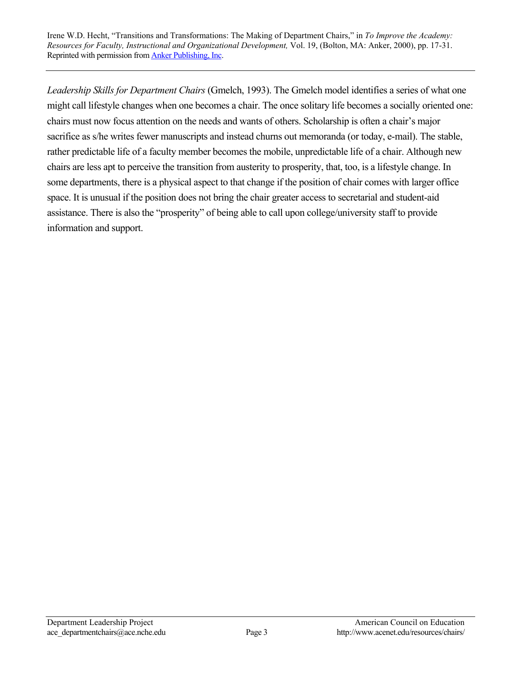*Leadership Skills for Department Chairs* (Gmelch, 1993). The Gmelch model identifies a series of what one might call lifestyle changes when one becomes a chair. The once solitary life becomes a socially oriented one: chairs must now focus attention on the needs and wants of others. Scholarship is often a chair's major sacrifice as s/he writes fewer manuscripts and instead churns out memoranda (or today, e-mail). The stable, rather predictable life of a faculty member becomes the mobile, unpredictable life of a chair. Although new chairs are less apt to perceive the transition from austerity to prosperity, that, too, is a lifestyle change. In some departments, there is a physical aspect to that change if the position of chair comes with larger office space. It is unusual if the position does not bring the chair greater access to secretarial and student-aid assistance. There is also the "prosperity" of being able to call upon college/university staff to provide information and support.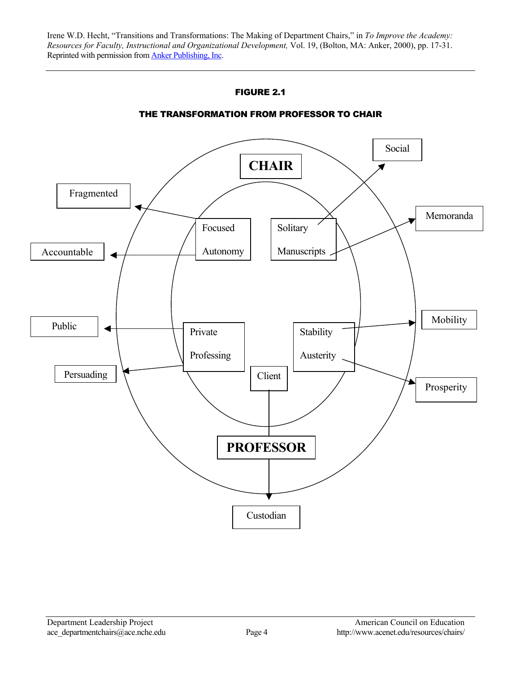#### FIGURE 2.1

#### THE TRANSFORMATION FROM PROFESSOR TO CHAIR

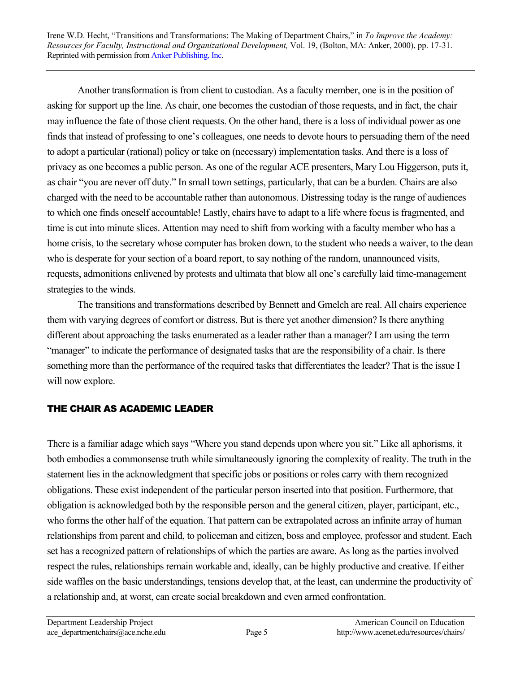Another transformation is from client to custodian. As a faculty member, one is in the position of asking for support up the line. As chair, one becomes the custodian of those requests, and in fact, the chair may influence the fate of those client requests. On the other hand, there is a loss of individual power as one finds that instead of professing to one's colleagues, one needs to devote hours to persuading them of the need to adopt a particular (rational) policy or take on (necessary) implementation tasks. And there is a loss of privacy as one becomes a public person. As one of the regular ACE presenters, Mary Lou Higgerson, puts it, as chair "you are never off duty." In small town settings, particularly, that can be a burden. Chairs are also charged with the need to be accountable rather than autonomous. Distressing today is the range of audiences to which one finds oneself accountable! Lastly, chairs have to adapt to a life where focus is fragmented, and time is cut into minute slices. Attention may need to shift from working with a faculty member who has a home crisis, to the secretary whose computer has broken down, to the student who needs a waiver, to the dean who is desperate for your section of a board report, to say nothing of the random, unannounced visits, requests, admonitions enlivened by protests and ultimata that blow all one's carefully laid time-management strategies to the winds.

The transitions and transformations described by Bennett and Gmelch are real. All chairs experience them with varying degrees of comfort or distress. But is there yet another dimension? Is there anything different about approaching the tasks enumerated as a leader rather than a manager? I am using the term "manager" to indicate the performance of designated tasks that are the responsibility of a chair. Is there something more than the performance of the required tasks that differentiates the leader? That is the issue I will now explore.

## THE CHAIR AS ACADEMIC LEADER

There is a familiar adage which says "Where you stand depends upon where you sit." Like all aphorisms, it both embodies a commonsense truth while simultaneously ignoring the complexity of reality. The truth in the statement lies in the acknowledgment that specific jobs or positions or roles carry with them recognized obligations. These exist independent of the particular person inserted into that position. Furthermore, that obligation is acknowledged both by the responsible person and the general citizen, player, participant, etc., who forms the other half of the equation. That pattern can be extrapolated across an infinite array of human relationships from parent and child, to policeman and citizen, boss and employee, professor and student. Each set has a recognized pattern of relationships of which the parties are aware. As long as the parties involved respect the rules, relationships remain workable and, ideally, can be highly productive and creative. If either side waffles on the basic understandings, tensions develop that, at the least, can undermine the productivity of a relationship and, at worst, can create social breakdown and even armed confrontation.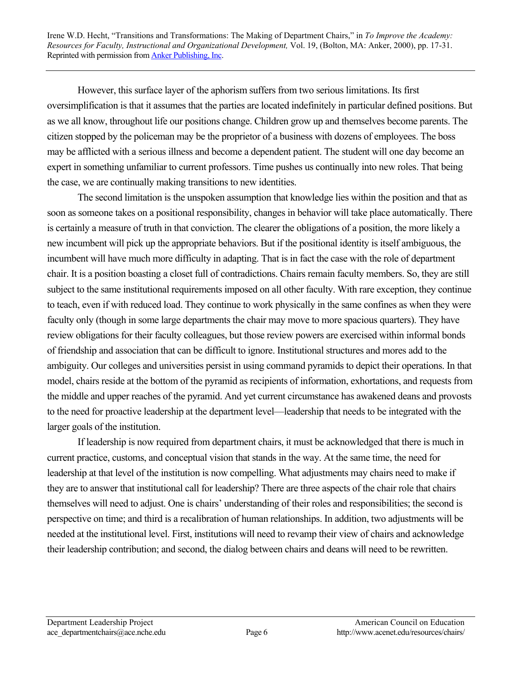However, this surface layer of the aphorism suffers from two serious limitations. Its first oversimplification is that it assumes that the parties are located indefinitely in particular defined positions. But as we all know, throughout life our positions change. Children grow up and themselves become parents. The citizen stopped by the policeman may be the proprietor of a business with dozens of employees. The boss may be afflicted with a serious illness and become a dependent patient. The student will one day become an expert in something unfamiliar to current professors. Time pushes us continually into new roles. That being the case, we are continually making transitions to new identities.

The second limitation is the unspoken assumption that knowledge lies within the position and that as soon as someone takes on a positional responsibility, changes in behavior will take place automatically. There is certainly a measure of truth in that conviction. The clearer the obligations of a position, the more likely a new incumbent will pick up the appropriate behaviors. But if the positional identity is itself ambiguous, the incumbent will have much more difficulty in adapting. That is in fact the case with the role of department chair. It is a position boasting a closet full of contradictions. Chairs remain faculty members. So, they are still subject to the same institutional requirements imposed on all other faculty. With rare exception, they continue to teach, even if with reduced load. They continue to work physically in the same confines as when they were faculty only (though in some large departments the chair may move to more spacious quarters). They have review obligations for their faculty colleagues, but those review powers are exercised within informal bonds of friendship and association that can be difficult to ignore. Institutional structures and mores add to the ambiguity. Our colleges and universities persist in using command pyramids to depict their operations. In that model, chairs reside at the bottom of the pyramid as recipients of information, exhortations, and requests from the middle and upper reaches of the pyramid. And yet current circumstance has awakened deans and provosts to the need for proactive leadership at the department level—leadership that needs to be integrated with the larger goals of the institution.

If leadership is now required from department chairs, it must be acknowledged that there is much in current practice, customs, and conceptual vision that stands in the way. At the same time, the need for leadership at that level of the institution is now compelling. What adjustments may chairs need to make if they are to answer that institutional call for leadership? There are three aspects of the chair role that chairs themselves will need to adjust. One is chairs' understanding of their roles and responsibilities; the second is perspective on time; and third is a recalibration of human relationships. In addition, two adjustments will be needed at the institutional level. First, institutions will need to revamp their view of chairs and acknowledge their leadership contribution; and second, the dialog between chairs and deans will need to be rewritten.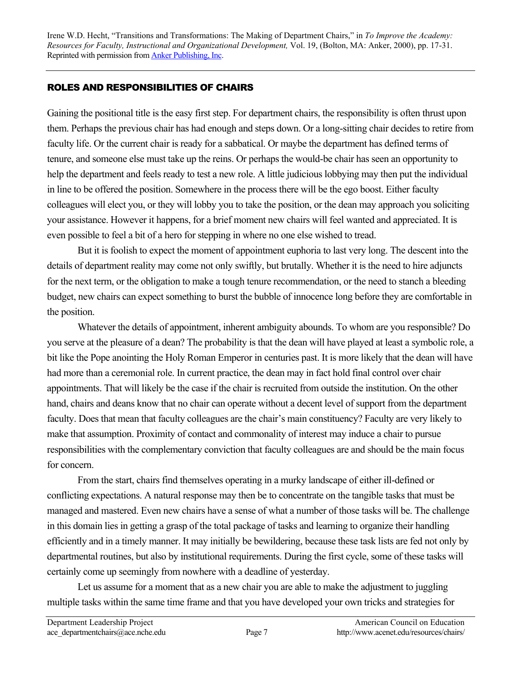## ROLES AND RESPONSIBILITIES OF CHAIRS

Gaining the positional title is the easy first step. For department chairs, the responsibility is often thrust upon them. Perhaps the previous chair has had enough and steps down. Or a long-sitting chair decides to retire from faculty life. Or the current chair is ready for a sabbatical. Or maybe the department has defined terms of tenure, and someone else must take up the reins. Or perhaps the would-be chair has seen an opportunity to help the department and feels ready to test a new role. A little judicious lobbying may then put the individual in line to be offered the position. Somewhere in the process there will be the ego boost. Either faculty colleagues will elect you, or they will lobby you to take the position, or the dean may approach you soliciting your assistance. However it happens, for a brief moment new chairs will feel wanted and appreciated. It is even possible to feel a bit of a hero for stepping in where no one else wished to tread.

But it is foolish to expect the moment of appointment euphoria to last very long. The descent into the details of department reality may come not only swiftly, but brutally. Whether it is the need to hire adjuncts for the next term, or the obligation to make a tough tenure recommendation, or the need to stanch a bleeding budget, new chairs can expect something to burst the bubble of innocence long before they are comfortable in the position.

Whatever the details of appointment, inherent ambiguity abounds. To whom are you responsible? Do you serve at the pleasure of a dean? The probability is that the dean will have played at least a symbolic role, a bit like the Pope anointing the Holy Roman Emperor in centuries past. It is more likely that the dean will have had more than a ceremonial role. In current practice, the dean may in fact hold final control over chair appointments. That will likely be the case if the chair is recruited from outside the institution. On the other hand, chairs and deans know that no chair can operate without a decent level of support from the department faculty. Does that mean that faculty colleagues are the chair's main constituency? Faculty are very likely to make that assumption. Proximity of contact and commonality of interest may induce a chair to pursue responsibilities with the complementary conviction that faculty colleagues are and should be the main focus for concern.

From the start, chairs find themselves operating in a murky landscape of either ill-defined or conflicting expectations. A natural response may then be to concentrate on the tangible tasks that must be managed and mastered. Even new chairs have a sense of what a number of those tasks will be. The challenge in this domain lies in getting a grasp of the total package of tasks and learning to organize their handling efficiently and in a timely manner. It may initially be bewildering, because these task lists are fed not only by departmental routines, but also by institutional requirements. During the first cycle, some of these tasks will certainly come up seemingly from nowhere with a deadline of yesterday.

Let us assume for a moment that as a new chair you are able to make the adjustment to juggling multiple tasks within the same time frame and that you have developed your own tricks and strategies for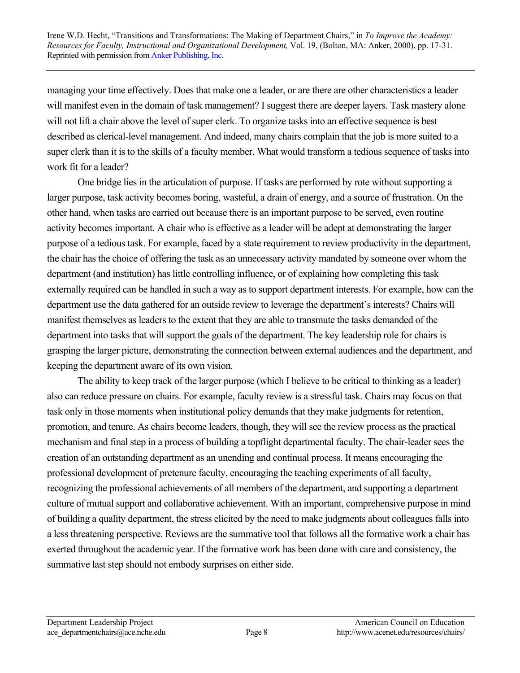managing your time effectively. Does that make one a leader, or are there are other characteristics a leader will manifest even in the domain of task management? I suggest there are deeper layers. Task mastery alone will not lift a chair above the level of super clerk. To organize tasks into an effective sequence is best described as clerical-level management. And indeed, many chairs complain that the job is more suited to a super clerk than it is to the skills of a faculty member. What would transform a tedious sequence of tasks into work fit for a leader?

One bridge lies in the articulation of purpose. If tasks are performed by rote without supporting a larger purpose, task activity becomes boring, wasteful, a drain of energy, and a source of frustration. On the other hand, when tasks are carried out because there is an important purpose to be served, even routine activity becomes important. A chair who is effective as a leader will be adept at demonstrating the larger purpose of a tedious task. For example, faced by a state requirement to review productivity in the department, the chair has the choice of offering the task as an unnecessary activity mandated by someone over whom the department (and institution) has little controlling influence, or of explaining how completing this task externally required can be handled in such a way as to support department interests. For example, how can the department use the data gathered for an outside review to leverage the department's interests? Chairs will manifest themselves as leaders to the extent that they are able to transmute the tasks demanded of the department into tasks that will support the goals of the department. The key leadership role for chairs is grasping the larger picture, demonstrating the connection between external audiences and the department, and keeping the department aware of its own vision.

The ability to keep track of the larger purpose (which I believe to be critical to thinking as a leader) also can reduce pressure on chairs. For example, faculty review is a stressful task. Chairs may focus on that task only in those moments when institutional policy demands that they make judgments for retention, promotion, and tenure. As chairs become leaders, though, they will see the review process as the practical mechanism and final step in a process of building a topflight departmental faculty. The chair-leader sees the creation of an outstanding department as an unending and continual process. It means encouraging the professional development of pretenure faculty, encouraging the teaching experiments of all faculty, recognizing the professional achievements of all members of the department, and supporting a department culture of mutual support and collaborative achievement. With an important, comprehensive purpose in mind of building a quality department, the stress elicited by the need to make judgments about colleagues falls into a less threatening perspective. Reviews are the summative tool that follows all the formative work a chair has exerted throughout the academic year. If the formative work has been done with care and consistency, the summative last step should not embody surprises on either side.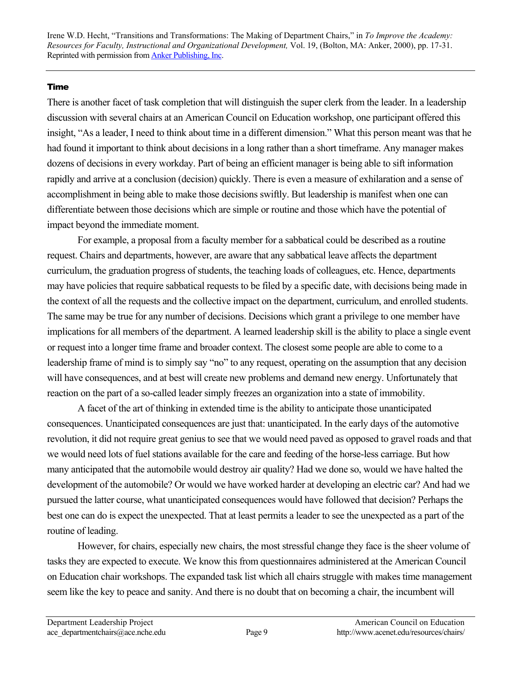### Time

There is another facet of task completion that will distinguish the super clerk from the leader. In a leadership discussion with several chairs at an American Council on Education workshop, one participant offered this insight, "As a leader, I need to think about time in a different dimension." What this person meant was that he had found it important to think about decisions in a long rather than a short timeframe. Any manager makes dozens of decisions in every workday. Part of being an efficient manager is being able to sift information rapidly and arrive at a conclusion (decision) quickly. There is even a measure of exhilaration and a sense of accomplishment in being able to make those decisions swiftly. But leadership is manifest when one can differentiate between those decisions which are simple or routine and those which have the potential of impact beyond the immediate moment.

For example, a proposal from a faculty member for a sabbatical could be described as a routine request. Chairs and departments, however, are aware that any sabbatical leave affects the department curriculum, the graduation progress of students, the teaching loads of colleagues, etc. Hence, departments may have policies that require sabbatical requests to be filed by a specific date, with decisions being made in the context of all the requests and the collective impact on the department, curriculum, and enrolled students. The same may be true for any number of decisions. Decisions which grant a privilege to one member have implications for all members of the department. A learned leadership skill is the ability to place a single event or request into a longer time frame and broader context. The closest some people are able to come to a leadership frame of mind is to simply say "no" to any request, operating on the assumption that any decision will have consequences, and at best will create new problems and demand new energy. Unfortunately that reaction on the part of a so-called leader simply freezes an organization into a state of immobility.

A facet of the art of thinking in extended time is the ability to anticipate those unanticipated consequences. Unanticipated consequences are just that: unanticipated. In the early days of the automotive revolution, it did not require great genius to see that we would need paved as opposed to gravel roads and that we would need lots of fuel stations available for the care and feeding of the horse-less carriage. But how many anticipated that the automobile would destroy air quality? Had we done so, would we have halted the development of the automobile? Or would we have worked harder at developing an electric car? And had we pursued the latter course, what unanticipated consequences would have followed that decision? Perhaps the best one can do is expect the unexpected. That at least permits a leader to see the unexpected as a part of the routine of leading.

However, for chairs, especially new chairs, the most stressful change they face is the sheer volume of tasks they are expected to execute. We know this from questionnaires administered at the American Council on Education chair workshops. The expanded task list which all chairs struggle with makes time management seem like the key to peace and sanity. And there is no doubt that on becoming a chair, the incumbent will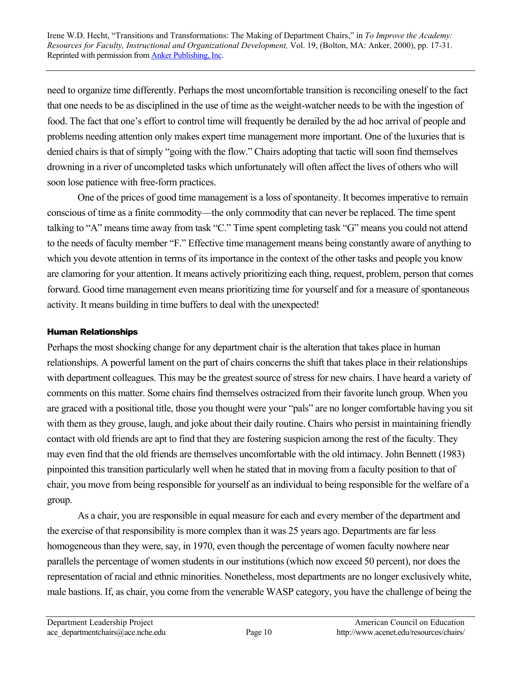need to organize time differently. Perhaps the most uncomfortable transition is reconciling oneself to the fact that one needs to be as disciplined in the use of time as the weight-watcher needs to be with the ingestion of food. The fact that one's effort to control time will frequently be derailed by the ad hoc arrival of people and problems needing attention only makes expert time management more important. One of the luxuries that is denied chairs is that of simply "going with the flow." Chairs adopting that tactic will soon find themselves drowning in a river of uncompleted tasks which unfortunately will often affect the lives of others who will soon lose patience with free-form practices.

One of the prices of good time management is a loss of spontaneity. It becomes imperative to remain conscious of time as a finite commodity—the only commodity that can never be replaced. The time spent talking to "A" means time away from task "C." Time spent completing task "G" means you could not attend to the needs of faculty member "F." Effective time management means being constantly aware of anything to which you devote attention in terms of its importance in the context of the other tasks and people you know are clamoring for your attention. It means actively prioritizing each thing, request, problem, person that comes forward. Good time management even means prioritizing time for yourself and for a measure of spontaneous activity. It means building in time buffers to deal with the unexpected!

#### Human Relationships

Perhaps the most shocking change for any department chair is the alteration that takes place in human relationships. A powerful lament on the part of chairs concerns the shift that takes place in their relationships with department colleagues. This may be the greatest source of stress for new chairs. I have heard a variety of comments on this matter. Some chairs find themselves ostracized from their favorite lunch group. When you are graced with a positional title, those you thought were your "pals" are no longer comfortable having you sit with them as they grouse, laugh, and joke about their daily routine. Chairs who persist in maintaining friendly contact with old friends are apt to find that they are fostering suspicion among the rest of the faculty. They may even find that the old friends are themselves uncomfortable with the old intimacy. John Bennett (1983) pinpointed this transition particularly well when he stated that in moving from a faculty position to that of chair, you move from being responsible for yourself as an individual to being responsible for the welfare of a group.

As a chair, you are responsible in equal measure for each and every member of the department and the exercise of that responsibility is more complex than it was 25 years ago. Departments are far less homogeneous than they were, say, in 1970, even though the percentage of women faculty nowhere near parallels the percentage of women students in our institutions (which now exceed 50 percent), nor does the representation of racial and ethnic minorities. Nonetheless, most departments are no longer exclusively white, male bastions. If, as chair, you come from the venerable WASP category, you have the challenge of being the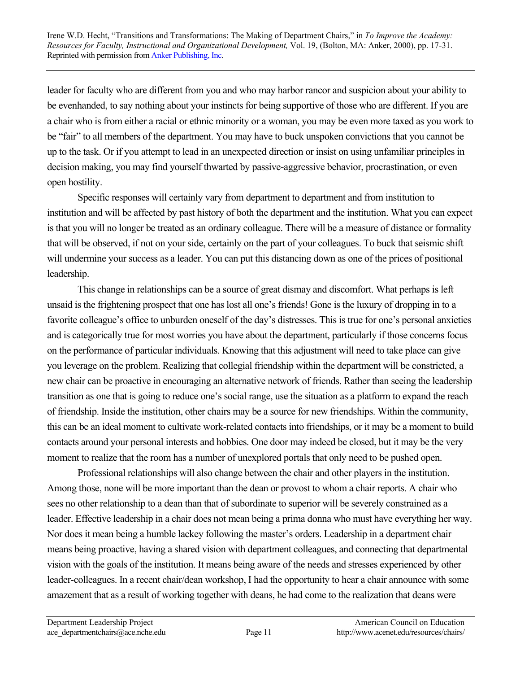leader for faculty who are different from you and who may harbor rancor and suspicion about your ability to be evenhanded, to say nothing about your instincts for being supportive of those who are different. If you are a chair who is from either a racial or ethnic minority or a woman, you may be even more taxed as you work to be "fair" to all members of the department. You may have to buck unspoken convictions that you cannot be up to the task. Or if you attempt to lead in an unexpected direction or insist on using unfamiliar principles in decision making, you may find yourself thwarted by passive-aggressive behavior, procrastination, or even open hostility.

 Specific responses will certainly vary from department to department and from institution to institution and will be affected by past history of both the department and the institution. What you can expect is that you will no longer be treated as an ordinary colleague. There will be a measure of distance or formality that will be observed, if not on your side, certainly on the part of your colleagues. To buck that seismic shift will undermine your success as a leader. You can put this distancing down as one of the prices of positional leadership.

This change in relationships can be a source of great dismay and discomfort. What perhaps is left unsaid is the frightening prospect that one has lost all one's friends! Gone is the luxury of dropping in to a favorite colleague's office to unburden oneself of the day's distresses. This is true for one's personal anxieties and is categorically true for most worries you have about the department, particularly if those concerns focus on the performance of particular individuals. Knowing that this adjustment will need to take place can give you leverage on the problem. Realizing that collegial friendship within the department will be constricted, a new chair can be proactive in encouraging an alternative network of friends. Rather than seeing the leadership transition as one that is going to reduce one's social range, use the situation as a platform to expand the reach of friendship. Inside the institution, other chairs may be a source for new friendships. Within the community, this can be an ideal moment to cultivate work-related contacts into friendships, or it may be a moment to build contacts around your personal interests and hobbies. One door may indeed be closed, but it may be the very moment to realize that the room has a number of unexplored portals that only need to be pushed open.

 Professional relationships will also change between the chair and other players in the institution. Among those, none will be more important than the dean or provost to whom a chair reports. A chair who sees no other relationship to a dean than that of subordinate to superior will be severely constrained as a leader. Effective leadership in a chair does not mean being a prima donna who must have everything her way. Nor does it mean being a humble lackey following the master's orders. Leadership in a department chair means being proactive, having a shared vision with department colleagues, and connecting that departmental vision with the goals of the institution. It means being aware of the needs and stresses experienced by other leader-colleagues. In a recent chair/dean workshop, I had the opportunity to hear a chair announce with some amazement that as a result of working together with deans, he had come to the realization that deans were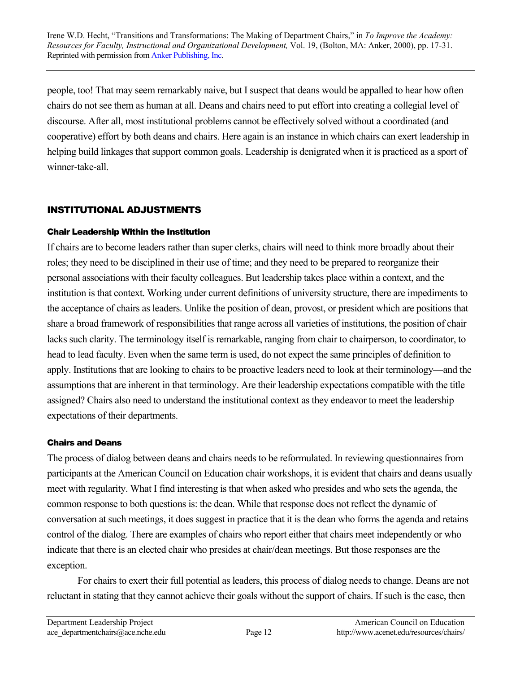people, too! That may seem remarkably naive, but I suspect that deans would be appalled to hear how often chairs do not see them as human at all. Deans and chairs need to put effort into creating a collegial level of discourse. After all, most institutional problems cannot be effectively solved without a coordinated (and cooperative) effort by both deans and chairs. Here again is an instance in which chairs can exert leadership in helping build linkages that support common goals. Leadership is denigrated when it is practiced as a sport of winner-take-all.

## INSTITUTIONAL ADJUSTMENTS

### Chair Leadership Within the Institution

If chairs are to become leaders rather than super clerks, chairs will need to think more broadly about their roles; they need to be disciplined in their use of time; and they need to be prepared to reorganize their personal associations with their faculty colleagues. But leadership takes place within a context, and the institution is that context. Working under current definitions of university structure, there are impediments to the acceptance of chairs as leaders. Unlike the position of dean, provost, or president which are positions that share a broad framework of responsibilities that range across all varieties of institutions, the position of chair lacks such clarity. The terminology itself is remarkable, ranging from chair to chairperson, to coordinator, to head to lead faculty. Even when the same term is used, do not expect the same principles of definition to apply. Institutions that are looking to chairs to be proactive leaders need to look at their terminology—and the assumptions that are inherent in that terminology. Are their leadership expectations compatible with the title assigned? Chairs also need to understand the institutional context as they endeavor to meet the leadership expectations of their departments.

#### Chairs and Deans

The process of dialog between deans and chairs needs to be reformulated. In reviewing questionnaires from participants at the American Council on Education chair workshops, it is evident that chairs and deans usually meet with regularity. What I find interesting is that when asked who presides and who sets the agenda, the common response to both questions is: the dean. While that response does not reflect the dynamic of conversation at such meetings, it does suggest in practice that it is the dean who forms the agenda and retains control of the dialog. There are examples of chairs who report either that chairs meet independently or who indicate that there is an elected chair who presides at chair/dean meetings. But those responses are the exception.

For chairs to exert their full potential as leaders, this process of dialog needs to change. Deans are not reluctant in stating that they cannot achieve their goals without the support of chairs. If such is the case, then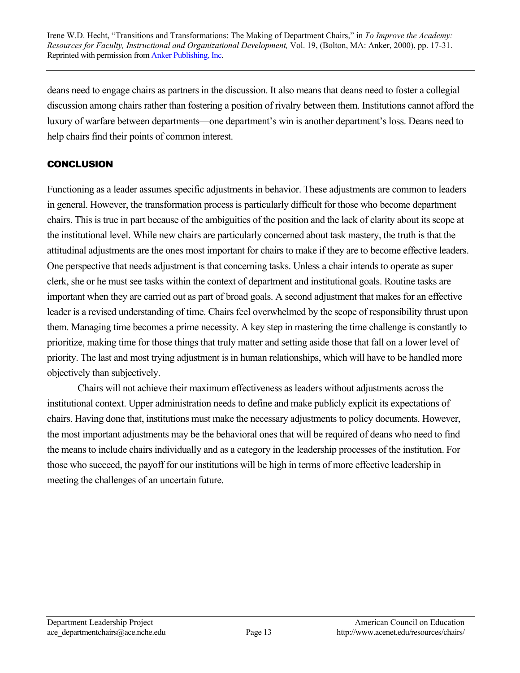deans need to engage chairs as partners in the discussion. It also means that deans need to foster a collegial discussion among chairs rather than fostering a position of rivalry between them. Institutions cannot afford the luxury of warfare between departments—one department's win is another department's loss. Deans need to help chairs find their points of common interest.

## **CONCLUSION**

Functioning as a leader assumes specific adjustments in behavior. These adjustments are common to leaders in general. However, the transformation process is particularly difficult for those who become department chairs. This is true in part because of the ambiguities of the position and the lack of clarity about its scope at the institutional level. While new chairs are particularly concerned about task mastery, the truth is that the attitudinal adjustments are the ones most important for chairs to make if they are to become effective leaders. One perspective that needs adjustment is that concerning tasks. Unless a chair intends to operate as super clerk, she or he must see tasks within the context of department and institutional goals. Routine tasks are important when they are carried out as part of broad goals. A second adjustment that makes for an effective leader is a revised understanding of time. Chairs feel overwhelmed by the scope of responsibility thrust upon them. Managing time becomes a prime necessity. A key step in mastering the time challenge is constantly to prioritize, making time for those things that truly matter and setting aside those that fall on a lower level of priority. The last and most trying adjustment is in human relationships, which will have to be handled more objectively than subjectively.

Chairs will not achieve their maximum effectiveness as leaders without adjustments across the institutional context. Upper administration needs to define and make publicly explicit its expectations of chairs. Having done that, institutions must make the necessary adjustments to policy documents. However, the most important adjustments may be the behavioral ones that will be required of deans who need to find the means to include chairs individually and as a category in the leadership processes of the institution. For those who succeed, the payoff for our institutions will be high in terms of more effective leadership in meeting the challenges of an uncertain future.